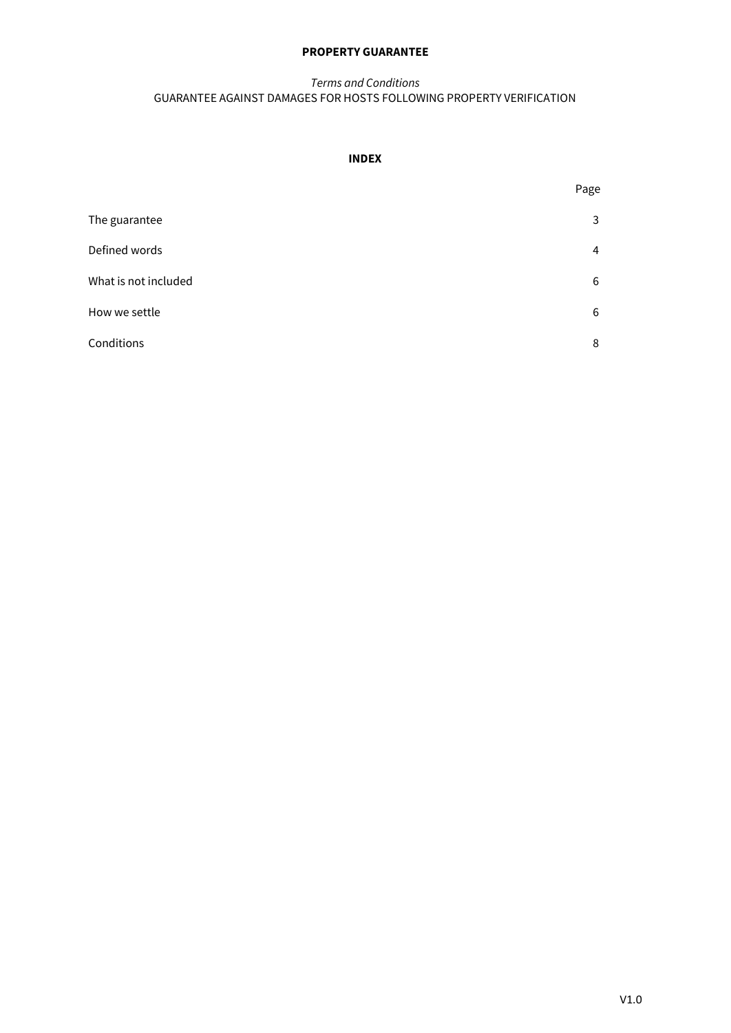# **PROPERTY GUARANTEE**

# *Terms and Conditions* GUARANTEE AGAINST DAMAGES FOR HOSTS FOLLOWING PROPERTY VERIFICATION

# **INDEX**

|                      | Page |
|----------------------|------|
| The guarantee        | 3    |
| Defined words        | 4    |
| What is not included | 6    |
| How we settle        | 6    |
| Conditions           | 8    |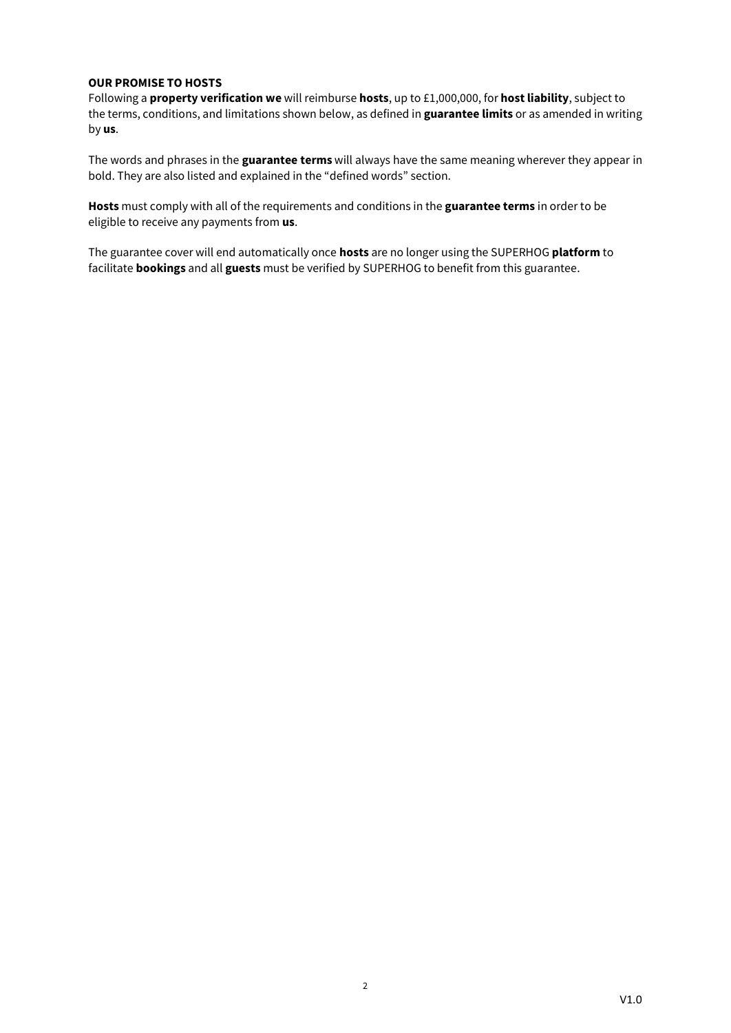# **OUR PROMISE TO HOSTS**

Following a **property verification we** will reimburse **hosts**, up to £1,000,000, for **host liability**, subject to the terms, conditions, and limitations shown below, as defined in **guarantee limits** or as amended in writing by **us**.

The words and phrases in the **guarantee terms** will always have the same meaning wherever they appear in bold. They are also listed and explained in the "defined words" section.

**Hosts** must comply with all of the requirements and conditions in the **guarantee terms** in order to be eligible to receive any payments from **us**.

The guarantee cover will end automatically once **hosts** are no longer using the SUPERHOG **platform** to facilitate **bookings** and all **guests** must be verified by SUPERHOG to benefit from this guarantee.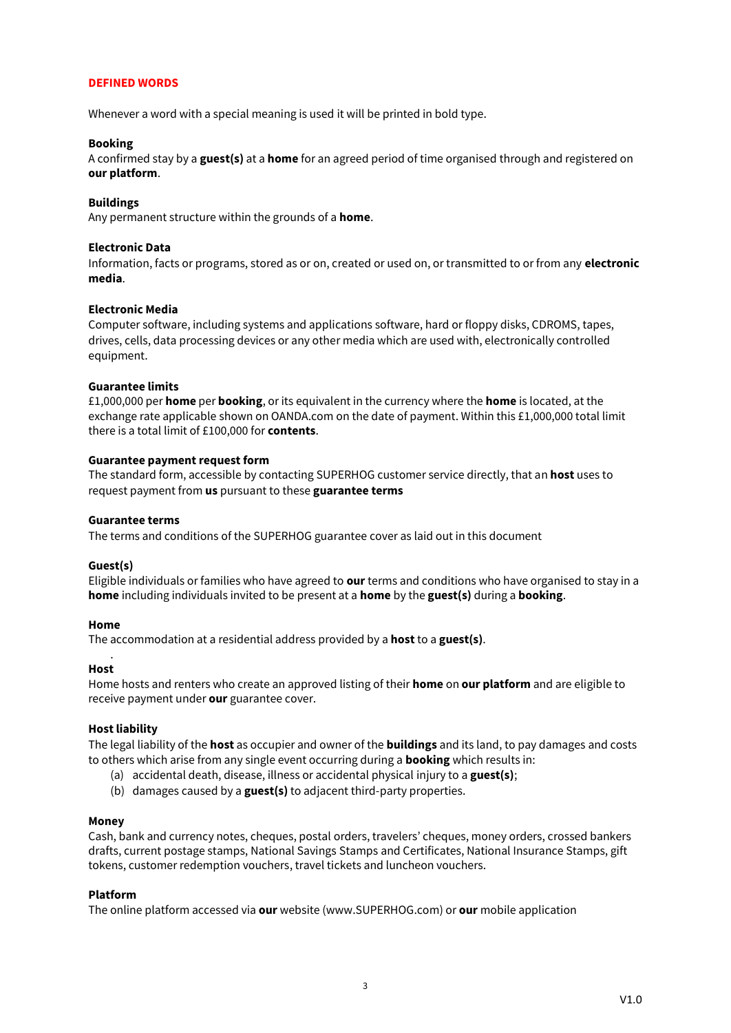# **DEFINED WORDS**

Whenever a word with a special meaning is used it will be printed in bold type.

### **Booking**

A confirmed stay by a **guest(s)** at a **home** for an agreed period of time organised through and registered on **our platform**.

# **Buildings**

Any permanent structure within the grounds of a **home**.

### **Electronic Data**

Information, facts or programs, stored as or on, created or used on, or transmitted to or from any **electronic media**.

### **Electronic Media**

Computer software, including systems and applications software, hard or floppy disks, CDROMS, tapes, drives, cells, data processing devices or any other media which are used with, electronically controlled equipment.

### **Guarantee limits**

£1,000,000 per **home** per **booking**, or its equivalent in the currency where the **home** is located, at the exchange rate applicable shown on OANDA.com on the date of payment. Within this £1,000,000 total limit there is a total limit of £100,000 for **contents**.

# **Guarantee payment request form**

The standard form, accessible by contacting SUPERHOG customer service directly, that an **host** uses to request payment from **us** pursuant to these **guarantee terms**

### **Guarantee terms**

The terms and conditions of the SUPERHOG guarantee cover as laid out in this document

### **Guest(s)**

Eligible individuals or families who have agreed to **our** terms and conditions who have organised to stay in a **home** including individuals invited to be present at a **home** by the **guest(s)** during a **booking**.

### **Home**

The accommodation at a residential address provided by a **host** to a **guest(s)**.

#### . **Host**

Home hosts and renters who create an approved listing of their **home** on **our platform** and are eligible to receive payment under **our** guarantee cover.

### **Host liability**

The legal liability of the **host** as occupier and owner of the **buildings** and its land, to pay damages and costs to others which arise from any single event occurring during a **booking** which results in:

- (a) accidental death, disease, illness or accidental physical injury to a **guest(s)**;
- (b) damages caused by a **guest(s)** to adjacent third-party properties.

### **Money**

Cash, bank and currency notes, cheques, postal orders, travelers' cheques, money orders, crossed bankers drafts, current postage stamps, National Savings Stamps and Certificates, National Insurance Stamps, gift tokens, customer redemption vouchers, travel tickets and luncheon vouchers.

### **Platform**

The online platform accessed via **our** website (www.SUPERHOG.com) or **our** mobile application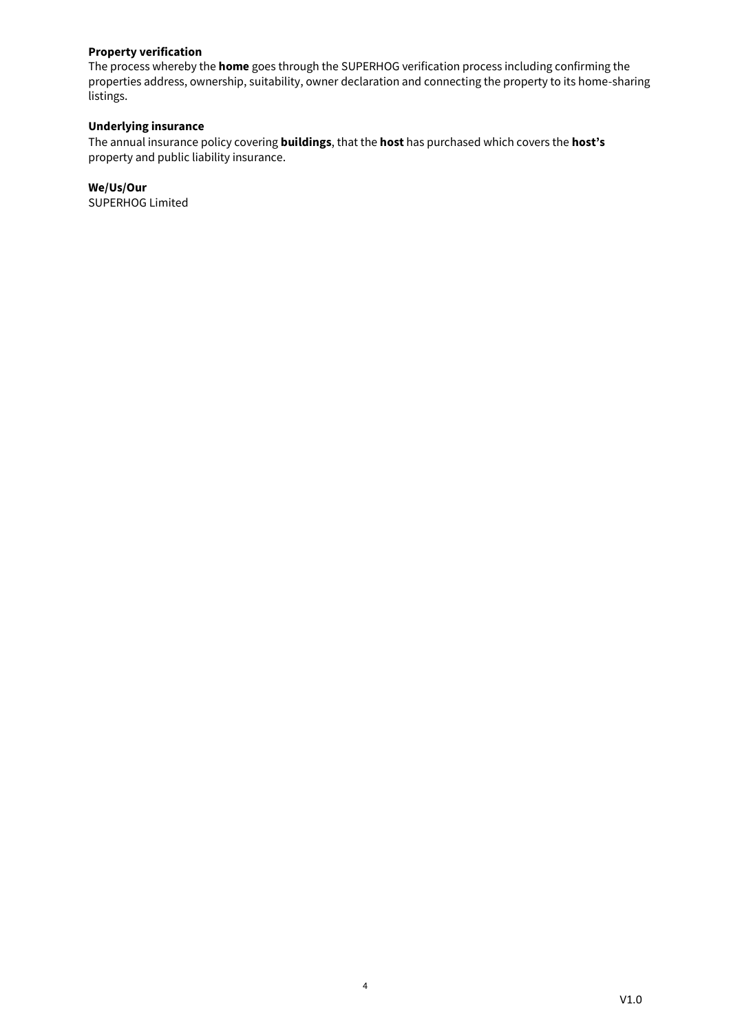# **Property verification**

The process whereby the **home** goes through the SUPERHOG verification process including confirming the properties address, ownership, suitability, owner declaration and connecting the property to its home-sharing listings.

# **Underlying insurance**

The annual insurance policy covering **buildings**, that the **host** has purchased which covers the **host's** property and public liability insurance.

**We/Us/Our** SUPERHOG Limited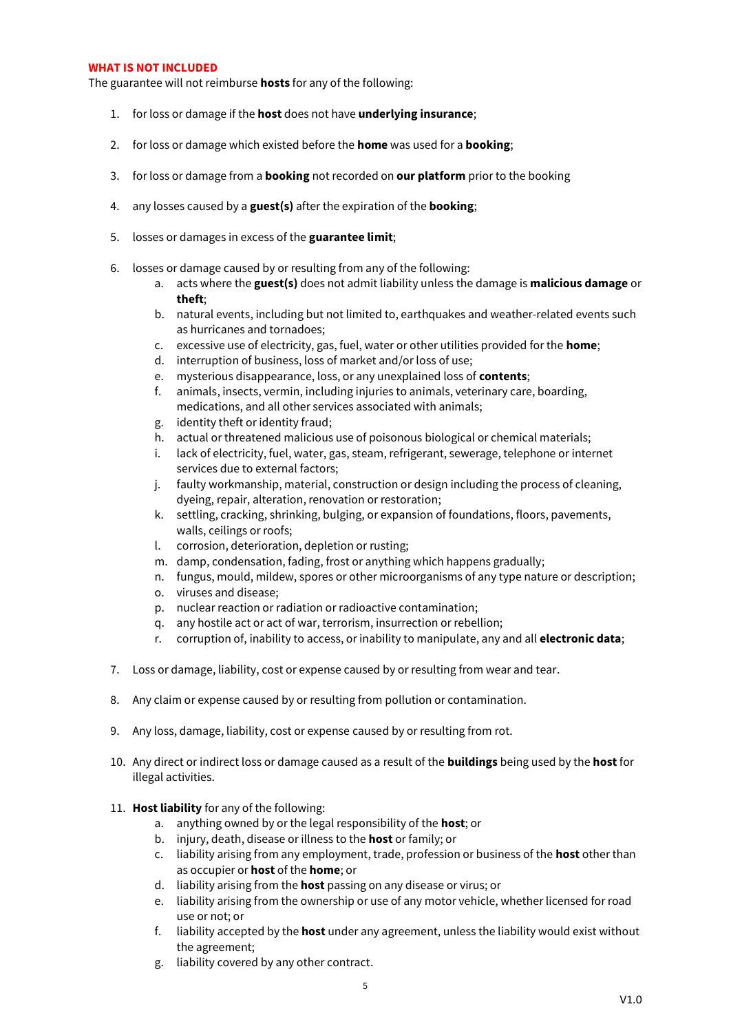### **WHAT IS NOT INCLUDED**

The guarantee will not reimburse **hosts** for any of the following:

- 1. for loss or damage if the **host** does not have **underlying insurance**;
- 2. for loss or damage which existed before the **home** was used for a **booking**;
- 3. for loss or damage from a **booking** not recorded on **our platform** prior to the booking
- 4. any losses caused by a **guest(s)** after the expiration of the **booking**;
- 5. losses or damages in excess of the **guarantee limit**;
- 6. losses or damage caused by or resulting from any of the following:
	- a. acts where the **guest(s)** does not admit liability unless the damage is **malicious damage** or **theft**;
	- b. natural events, including but not limited to, earthquakes and weather-related events such as hurricanes and tornadoes;
	- c. excessive use of electricity, gas, fuel, water or other utilities provided for the **home**;
	- d. interruption of business, loss of market and/or loss of use;
	- e. mysterious disappearance, loss, or any unexplained loss of **contents**;
	- f. animals, insects, vermin, including injuries to animals, veterinary care, boarding, medications, and all other services associated with animals;
	- g. identity theft or identity fraud;
	- h. actual or threatened malicious use of poisonous biological or chemical materials;
	- i. lack of electricity, fuel, water, gas, steam, refrigerant, sewerage, telephone or internet services due to external factors;
	- j. faulty workmanship, material, construction or design including the process of cleaning, dyeing, repair, alteration, renovation or restoration;
	- k. settling, cracking, shrinking, bulging, or expansion of foundations, floors, pavements, walls, ceilings or roofs;
	- l. corrosion, deterioration, depletion or rusting;
	- m. damp, condensation, fading, frost or anything which happens gradually;
	- n. fungus, mould, mildew, spores or other microorganisms of any type nature or description;
	- o. viruses and disease;
	- p. nuclear reaction or radiation or radioactive contamination;
	- q. any hostile act or act of war, terrorism, insurrection or rebellion;
	- r. corruption of, inability to access, or inability to manipulate, any and all **electronic data**;
- 7. Loss or damage, liability, cost or expense caused by or resulting from wear and tear.
- 8. Any claim or expense caused by or resulting from pollution or contamination.
- 9. Any loss, damage, liability, cost or expense caused by or resulting from rot.
- 10. Any direct or indirect loss or damage caused as a result of the **buildings** being used by the **host** for illegal activities.
- 11. **Host liability** for any of the following:
	- a. anything owned by or the legal responsibility of the **host**; or
	- b. injury, death, disease or illness to the **host** or family; or
	- c. liability arising from any employment, trade, profession or business of the **host** other than as occupier or **host** of the **home**; or
	- d. liability arising from the **host** passing on any disease or virus; or
	- e. liability arising from the ownership or use of any motor vehicle, whether licensed for road use or not; or
	- f. liability accepted by the **host** under any agreement, unless the liability would exist without the agreement;
	- g. liability covered by any other contract.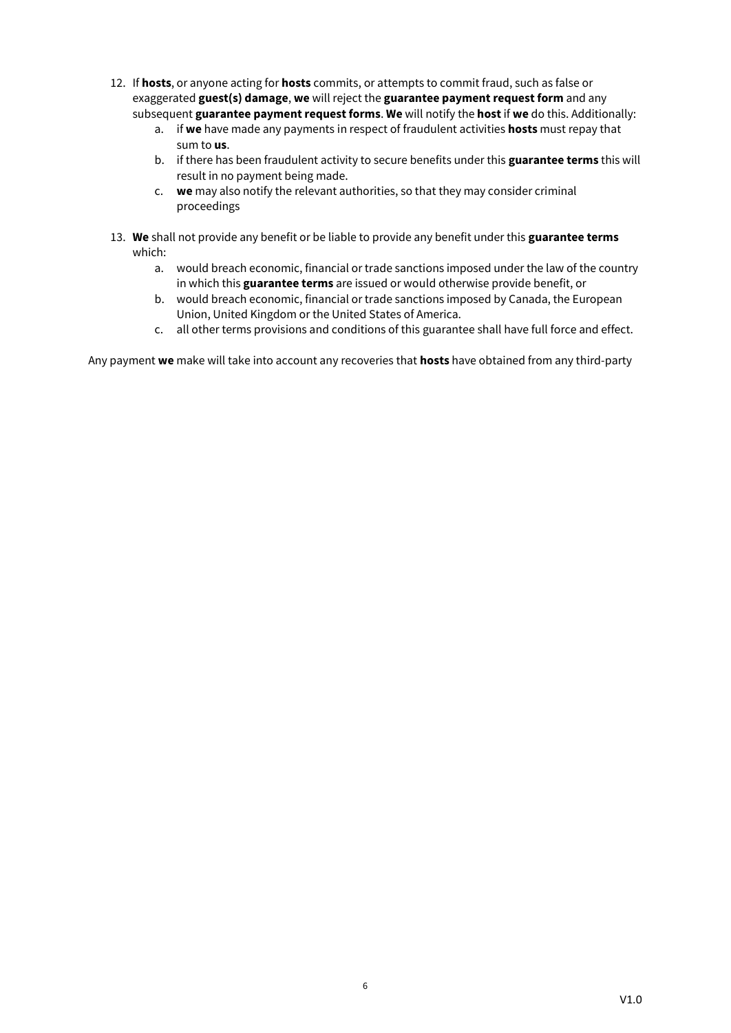- 12. If **hosts**, or anyone acting for **hosts** commits, or attempts to commit fraud, such as false or exaggerated **guest(s) damage**, **we** will reject the **guarantee payment request form** and any subsequent **guarantee payment request forms**. **We** will notify the **host** if **we** do this. Additionally:
	- a. if **we** have made any payments in respect of fraudulent activities **hosts** must repay that sum to **us**.
	- b. if there has been fraudulent activity to secure benefits under this **guarantee terms** this will result in no payment being made.
	- c. **we** may also notify the relevant authorities, so that they may consider criminal proceedings
- 13. **We** shall not provide any benefit or be liable to provide any benefit under this **guarantee terms** which:
	- a. would breach economic, financial or trade sanctions imposed under the law of the country in which this **guarantee terms** are issued or would otherwise provide benefit, or
	- b. would breach economic, financial or trade sanctions imposed by Canada, the European Union, United Kingdom or the United States of America.
	- c. all other terms provisions and conditions of this guarantee shall have full force and effect.

Any payment **we** make will take into account any recoveries that **hosts** have obtained from any third-party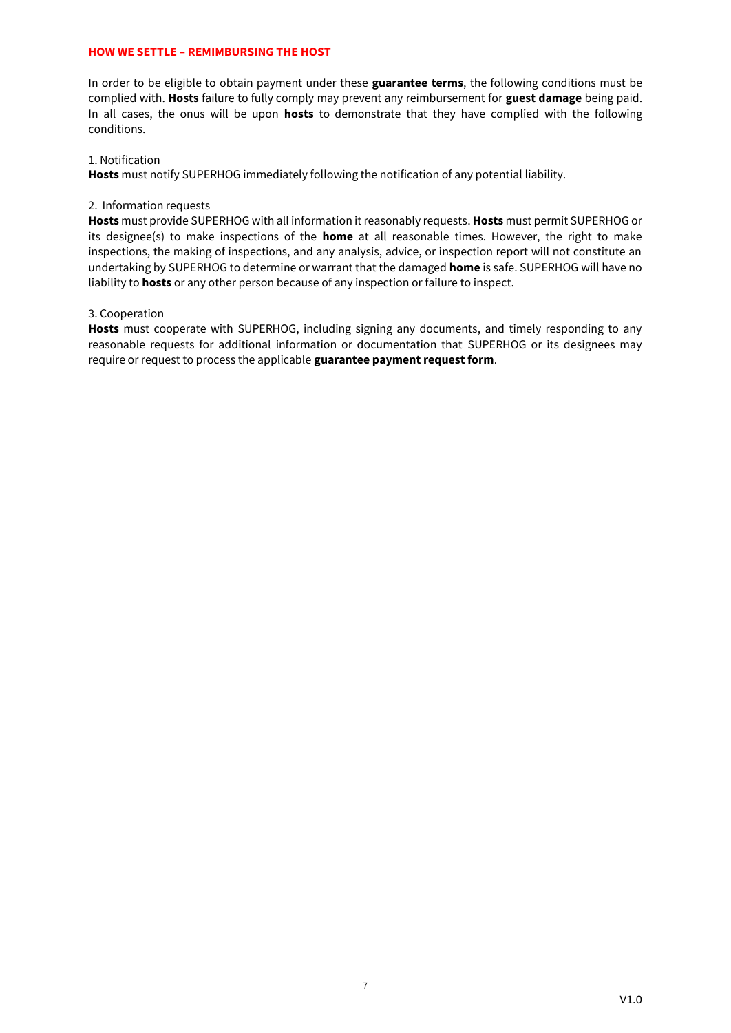# **HOW WE SETTLE – REMIMBURSING THE HOST**

In order to be eligible to obtain payment under these **guarantee terms**, the following conditions must be complied with. **Hosts** failure to fully comply may prevent any reimbursement for **guest damage** being paid. In all cases, the onus will be upon **hosts** to demonstrate that they have complied with the following conditions.

# 1. Notification

**Hosts** must notify SUPERHOG immediately following the notification of any potential liability.

# 2. Information requests

**Hosts** must provide SUPERHOG with all information it reasonably requests. **Hosts** must permit SUPERHOG or its designee(s) to make inspections of the **home** at all reasonable times. However, the right to make inspections, the making of inspections, and any analysis, advice, or inspection report will not constitute an undertaking by SUPERHOG to determine or warrant that the damaged **home** is safe. SUPERHOG will have no liability to **hosts** or any other person because of any inspection or failure to inspect.

# 3. Cooperation

**Hosts** must cooperate with SUPERHOG, including signing any documents, and timely responding to any reasonable requests for additional information or documentation that SUPERHOG or its designees may require or request to process the applicable **guarantee payment request form**.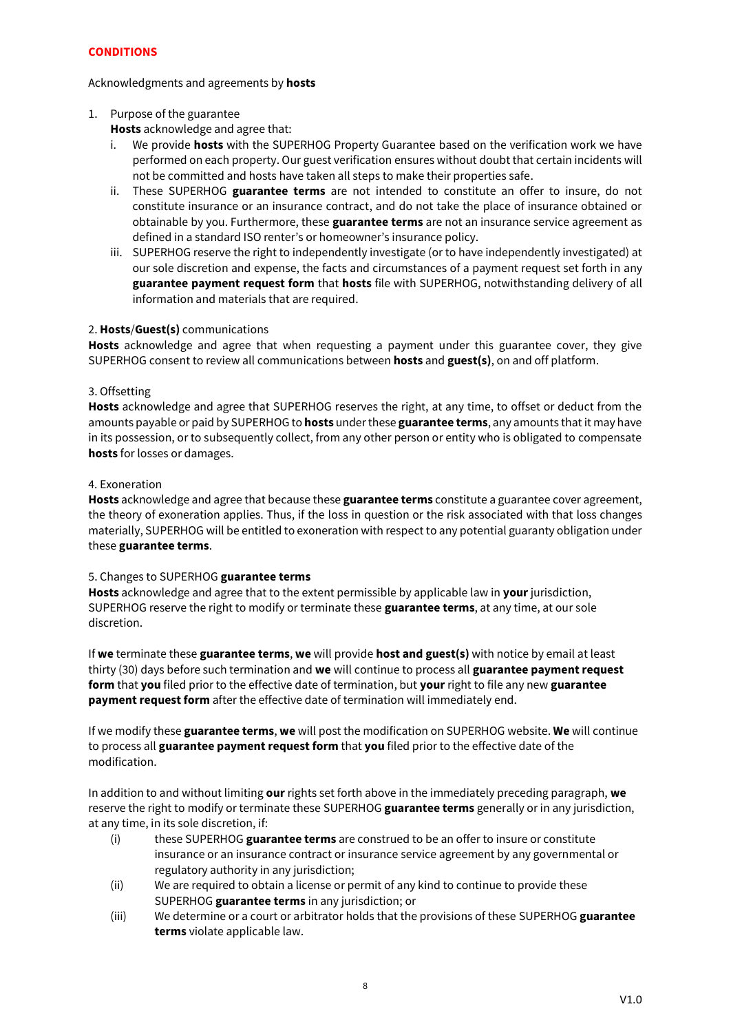# **CONDITIONS**

# Acknowledgments and agreements by **hosts**

# 1. Purpose of the guarantee

**Hosts** acknowledge and agree that:

- i. We provide **hosts** with the SUPERHOG Property Guarantee based on the verification work we have performed on each property. Our guest verification ensures without doubt that certain incidents will not be committed and hosts have taken all steps to make their properties safe.
- ii. These SUPERHOG **guarantee terms** are not intended to constitute an offer to insure, do not constitute insurance or an insurance contract, and do not take the place of insurance obtained or obtainable by you. Furthermore, these **guarantee terms** are not an insurance service agreement as defined in a standard ISO renter's or homeowner's insurance policy.
- iii. SUPERHOG reserve the right to independently investigate (or to have independently investigated) at our sole discretion and expense, the facts and circumstances of a payment request set forth in any **guarantee payment request form** that **hosts** file with SUPERHOG, notwithstanding delivery of all information and materials that are required.

# 2. **Hosts**/**Guest(s)** communications

**Hosts** acknowledge and agree that when requesting a payment under this guarantee cover, they give SUPERHOG consent to review all communications between **hosts** and **guest(s)**, on and off platform.

# 3. Offsetting

**Hosts** acknowledge and agree that SUPERHOG reserves the right, at any time, to offset or deduct from the amounts payable or paid by SUPERHOG to **hosts** under these **guarantee terms**, any amounts that it may have in its possession, or to subsequently collect, from any other person or entity who is obligated to compensate **hosts** for losses or damages.

# 4. Exoneration

**Hosts** acknowledge and agree that because these **guarantee terms** constitute a guarantee cover agreement, the theory of exoneration applies. Thus, if the loss in question or the risk associated with that loss changes materially, SUPERHOG will be entitled to exoneration with respect to any potential guaranty obligation under these **guarantee terms**.

# 5. Changes to SUPERHOG **guarantee terms**

**Hosts** acknowledge and agree that to the extent permissible by applicable law in **your** jurisdiction, SUPERHOG reserve the right to modify or terminate these **guarantee terms**, at any time, at our sole discretion.

If **we** terminate these **guarantee terms**, **we** will provide **host and guest(s)** with notice by email at least thirty (30) days before such termination and **we** will continue to process all **guarantee payment request form** that **you** filed prior to the effective date of termination, but **your** right to file any new **guarantee payment request form** after the effective date of termination will immediately end.

If we modify these **guarantee terms**, **we** will post the modification on SUPERHOG website. **We** will continue to process all **guarantee payment request form** that **you** filed prior to the effective date of the modification.

In addition to and without limiting **our** rights set forth above in the immediately preceding paragraph, **we** reserve the right to modify or terminate these SUPERHOG **guarantee terms** generally or in any jurisdiction, at any time, in its sole discretion, if:

- (i) these SUPERHOG **guarantee terms** are construed to be an offer to insure or constitute insurance or an insurance contract or insurance service agreement by any governmental or regulatory authority in any jurisdiction;
- (ii) We are required to obtain a license or permit of any kind to continue to provide these SUPERHOG **guarantee terms** in any jurisdiction; or
- (iii) We determine or a court or arbitrator holds that the provisions of these SUPERHOG **guarantee terms** violate applicable law.